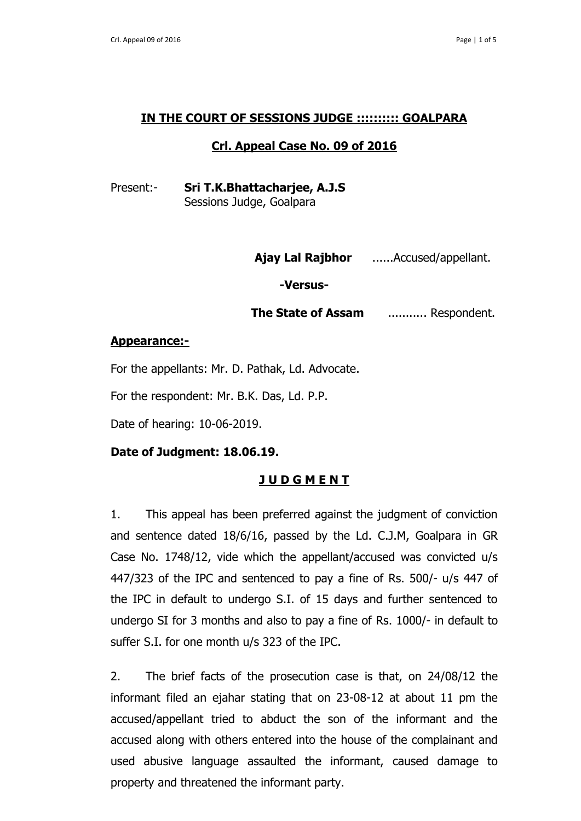## **IN THE COURT OF SESSIONS JUDGE :::::::::: GOALPARA**

## **Crl. Appeal Case No. 09 of 2016**

Present:- **Sri T.K.Bhattacharjee, A.J.S** Sessions Judge, Goalpara

 **Ajay Lal Rajbhor** ......Accused/appellant.

**-Versus-**

**The State of Assam** ........... Respondent.

### **Appearance:-**

For the appellants: Mr. D. Pathak, Ld. Advocate.

For the respondent: Mr. B.K. Das, Ld. P.P.

Date of hearing: 10-06-2019.

## **Date of Judgment: 18.06.19.**

# **J U D G M E N T**

1. This appeal has been preferred against the judgment of conviction and sentence dated 18/6/16, passed by the Ld. C.J.M, Goalpara in GR Case No. 1748/12, vide which the appellant/accused was convicted u/s 447/323 of the IPC and sentenced to pay a fine of Rs. 500/- u/s 447 of the IPC in default to undergo S.I. of 15 days and further sentenced to undergo SI for 3 months and also to pay a fine of Rs. 1000/- in default to suffer S.I. for one month u/s 323 of the IPC.

2. The brief facts of the prosecution case is that, on 24/08/12 the informant filed an ejahar stating that on 23-08-12 at about 11 pm the accused/appellant tried to abduct the son of the informant and the accused along with others entered into the house of the complainant and used abusive language assaulted the informant, caused damage to property and threatened the informant party.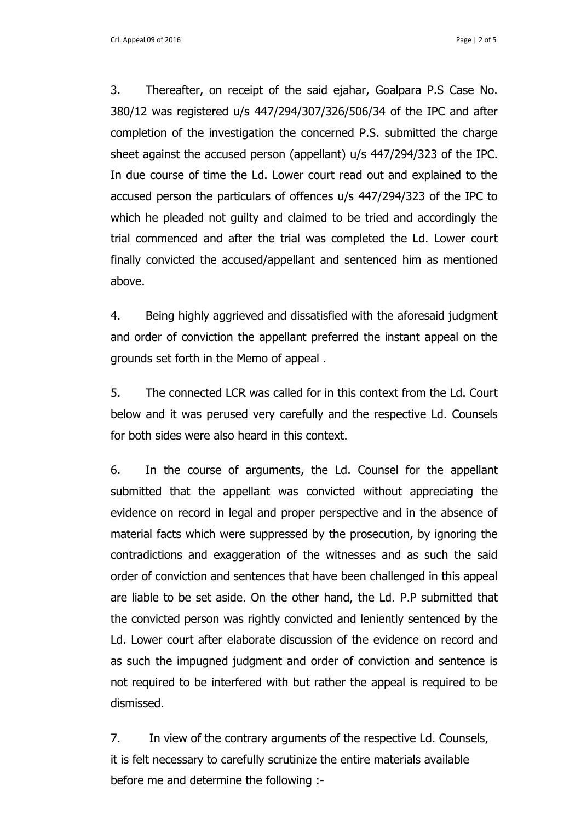Crl. Appeal 09 of 2016 **Page | 2 of 5** and 2016

3. Thereafter, on receipt of the said ejahar, Goalpara P.S Case No. 380/12 was registered u/s 447/294/307/326/506/34 of the IPC and after completion of the investigation the concerned P.S. submitted the charge sheet against the accused person (appellant) u/s 447/294/323 of the IPC. In due course of time the Ld. Lower court read out and explained to the accused person the particulars of offences u/s 447/294/323 of the IPC to which he pleaded not guilty and claimed to be tried and accordingly the trial commenced and after the trial was completed the Ld. Lower court finally convicted the accused/appellant and sentenced him as mentioned above.

4. Being highly aggrieved and dissatisfied with the aforesaid judgment and order of conviction the appellant preferred the instant appeal on the grounds set forth in the Memo of appeal .

5. The connected LCR was called for in this context from the Ld. Court below and it was perused very carefully and the respective Ld. Counsels for both sides were also heard in this context.

6. In the course of arguments, the Ld. Counsel for the appellant submitted that the appellant was convicted without appreciating the evidence on record in legal and proper perspective and in the absence of material facts which were suppressed by the prosecution, by ignoring the contradictions and exaggeration of the witnesses and as such the said order of conviction and sentences that have been challenged in this appeal are liable to be set aside. On the other hand, the Ld. P.P submitted that the convicted person was rightly convicted and leniently sentenced by the Ld. Lower court after elaborate discussion of the evidence on record and as such the impugned judgment and order of conviction and sentence is not required to be interfered with but rather the appeal is required to be dismissed.

7. In view of the contrary arguments of the respective Ld. Counsels, it is felt necessary to carefully scrutinize the entire materials available before me and determine the following :-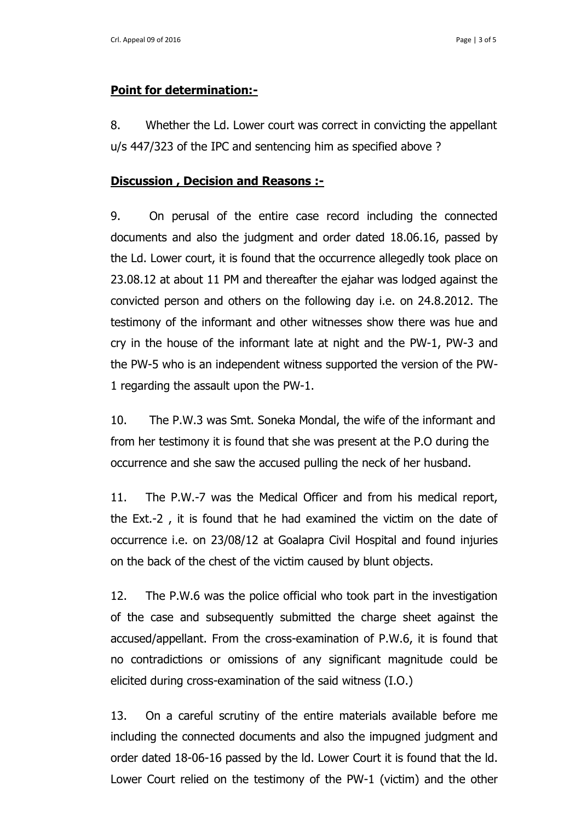### **Point for determination:-**

8. Whether the Ld. Lower court was correct in convicting the appellant u/s 447/323 of the IPC and sentencing him as specified above ?

### **Discussion , Decision and Reasons :-**

9. On perusal of the entire case record including the connected documents and also the judgment and order dated 18.06.16, passed by the Ld. Lower court, it is found that the occurrence allegedly took place on 23.08.12 at about 11 PM and thereafter the ejahar was lodged against the convicted person and others on the following day i.e. on 24.8.2012. The testimony of the informant and other witnesses show there was hue and cry in the house of the informant late at night and the PW-1, PW-3 and the PW-5 who is an independent witness supported the version of the PW-1 regarding the assault upon the PW-1.

10. The P.W.3 was Smt. Soneka Mondal, the wife of the informant and from her testimony it is found that she was present at the P.O during the occurrence and she saw the accused pulling the neck of her husband.

11. The P.W.-7 was the Medical Officer and from his medical report, the Ext.-2 , it is found that he had examined the victim on the date of occurrence i.e. on 23/08/12 at Goalapra Civil Hospital and found injuries on the back of the chest of the victim caused by blunt objects.

12. The P.W.6 was the police official who took part in the investigation of the case and subsequently submitted the charge sheet against the accused/appellant. From the cross-examination of P.W.6, it is found that no contradictions or omissions of any significant magnitude could be elicited during cross-examination of the said witness (I.O.)

13. On a careful scrutiny of the entire materials available before me including the connected documents and also the impugned judgment and order dated 18-06-16 passed by the ld. Lower Court it is found that the ld. Lower Court relied on the testimony of the PW-1 (victim) and the other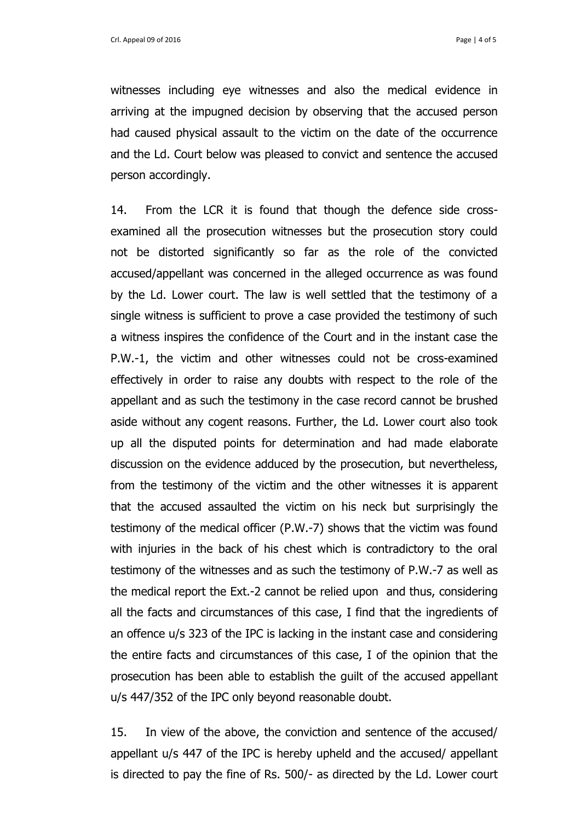witnesses including eye witnesses and also the medical evidence in arriving at the impugned decision by observing that the accused person had caused physical assault to the victim on the date of the occurrence and the Ld. Court below was pleased to convict and sentence the accused person accordingly.

14. From the LCR it is found that though the defence side crossexamined all the prosecution witnesses but the prosecution story could not be distorted significantly so far as the role of the convicted accused/appellant was concerned in the alleged occurrence as was found by the Ld. Lower court. The law is well settled that the testimony of a single witness is sufficient to prove a case provided the testimony of such a witness inspires the confidence of the Court and in the instant case the P.W.-1, the victim and other witnesses could not be cross-examined effectively in order to raise any doubts with respect to the role of the appellant and as such the testimony in the case record cannot be brushed aside without any cogent reasons. Further, the Ld. Lower court also took up all the disputed points for determination and had made elaborate discussion on the evidence adduced by the prosecution, but nevertheless, from the testimony of the victim and the other witnesses it is apparent that the accused assaulted the victim on his neck but surprisingly the testimony of the medical officer (P.W.-7) shows that the victim was found with injuries in the back of his chest which is contradictory to the oral testimony of the witnesses and as such the testimony of P.W.-7 as well as the medical report the Ext.-2 cannot be relied upon and thus, considering all the facts and circumstances of this case, I find that the ingredients of an offence u/s 323 of the IPC is lacking in the instant case and considering the entire facts and circumstances of this case, I of the opinion that the prosecution has been able to establish the guilt of the accused appellant u/s 447/352 of the IPC only beyond reasonable doubt.

15. In view of the above, the conviction and sentence of the accused/ appellant u/s 447 of the IPC is hereby upheld and the accused/ appellant is directed to pay the fine of Rs. 500/- as directed by the Ld. Lower court